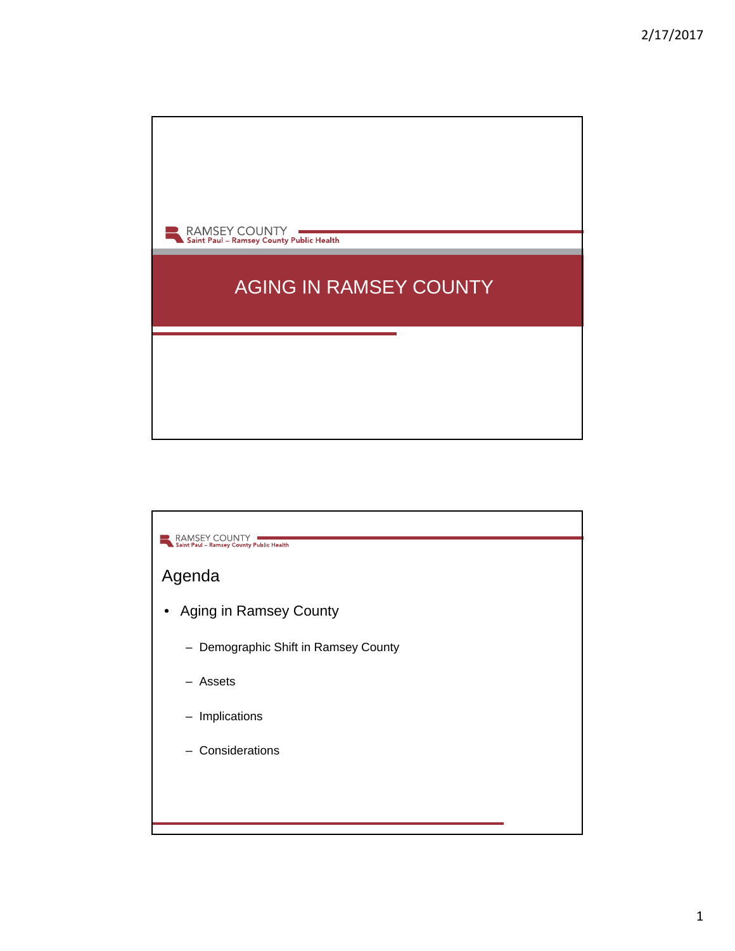

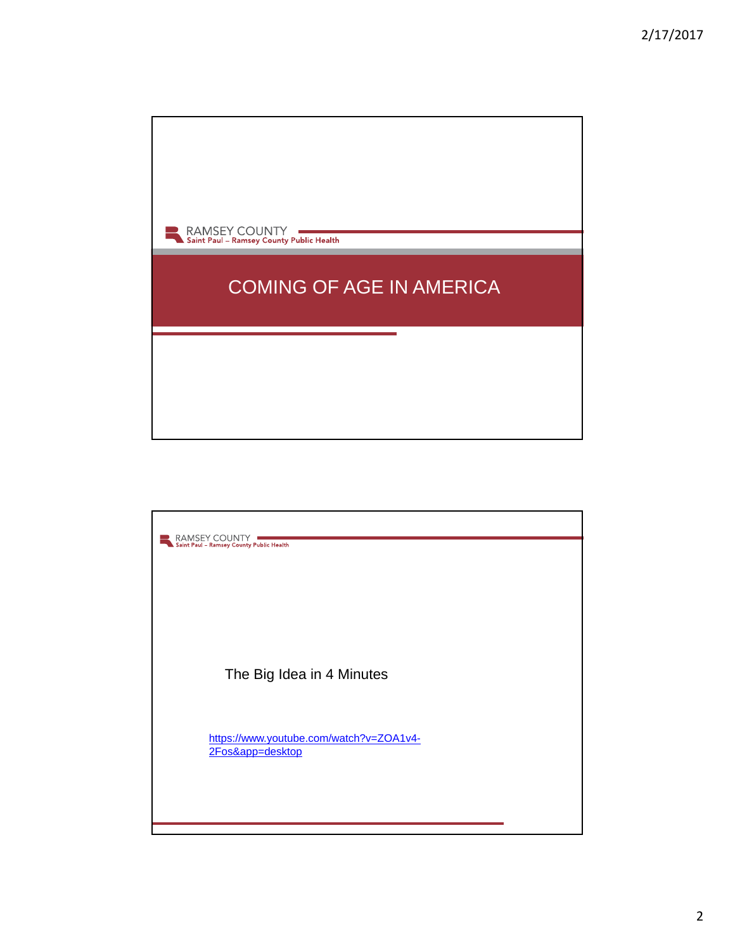

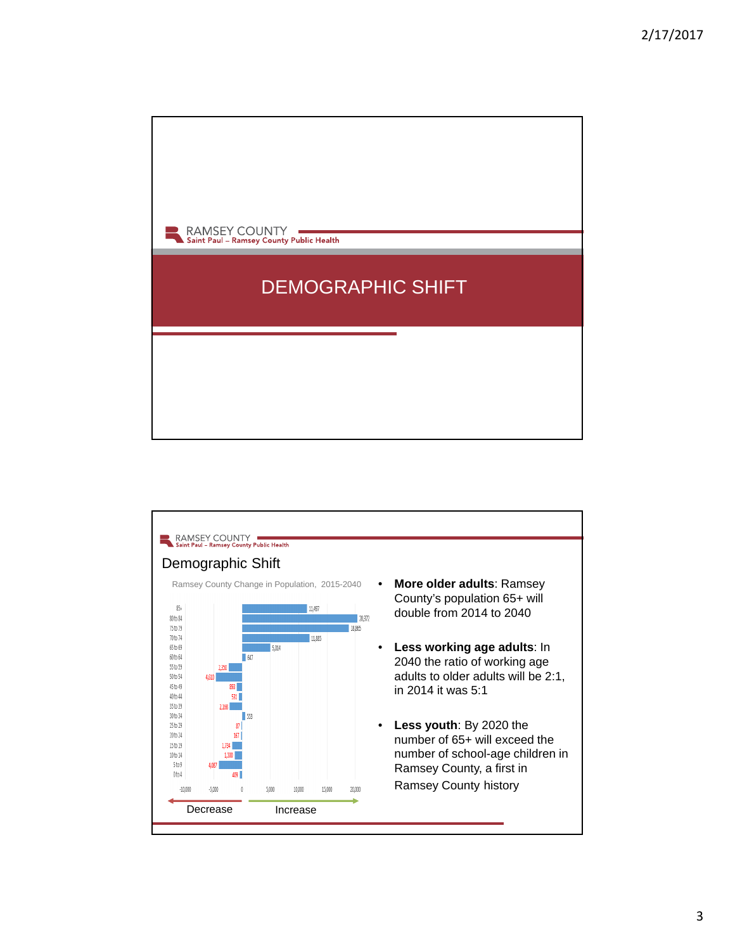

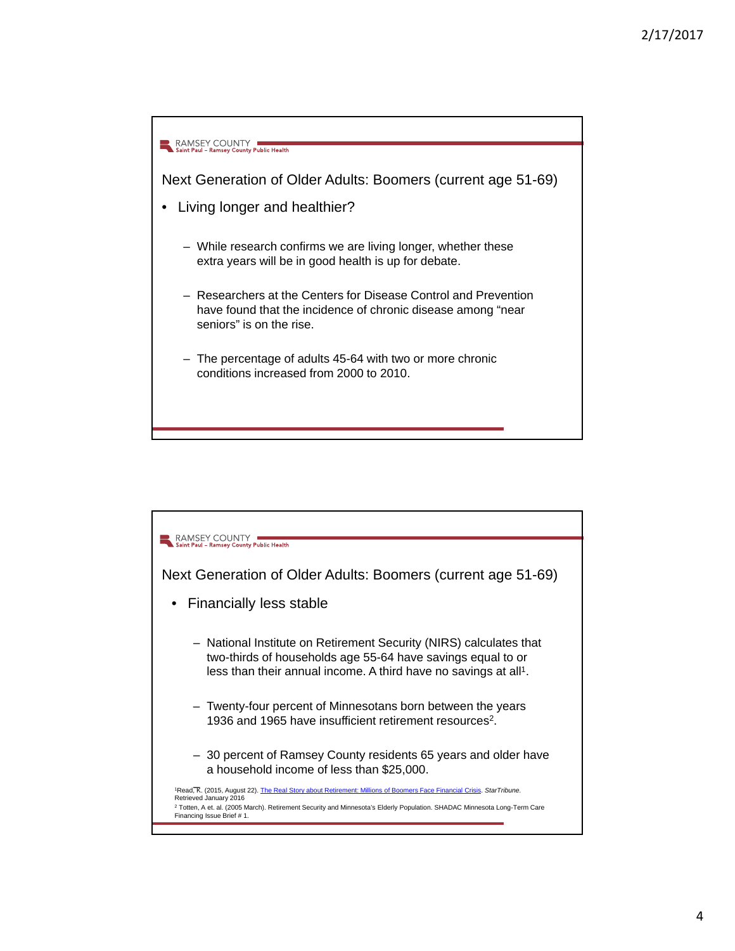

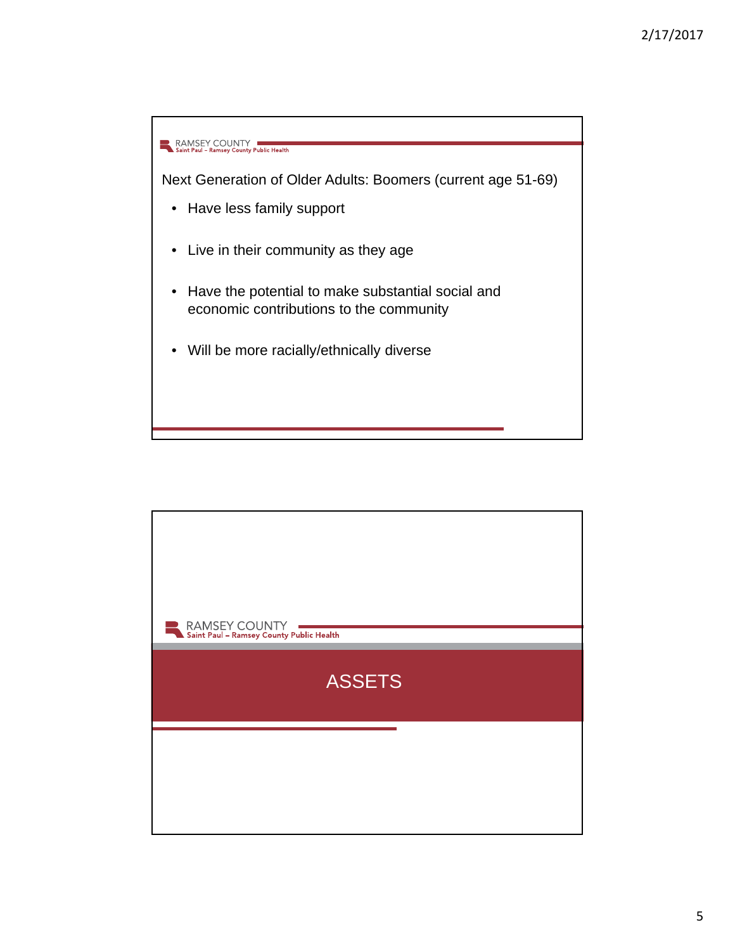

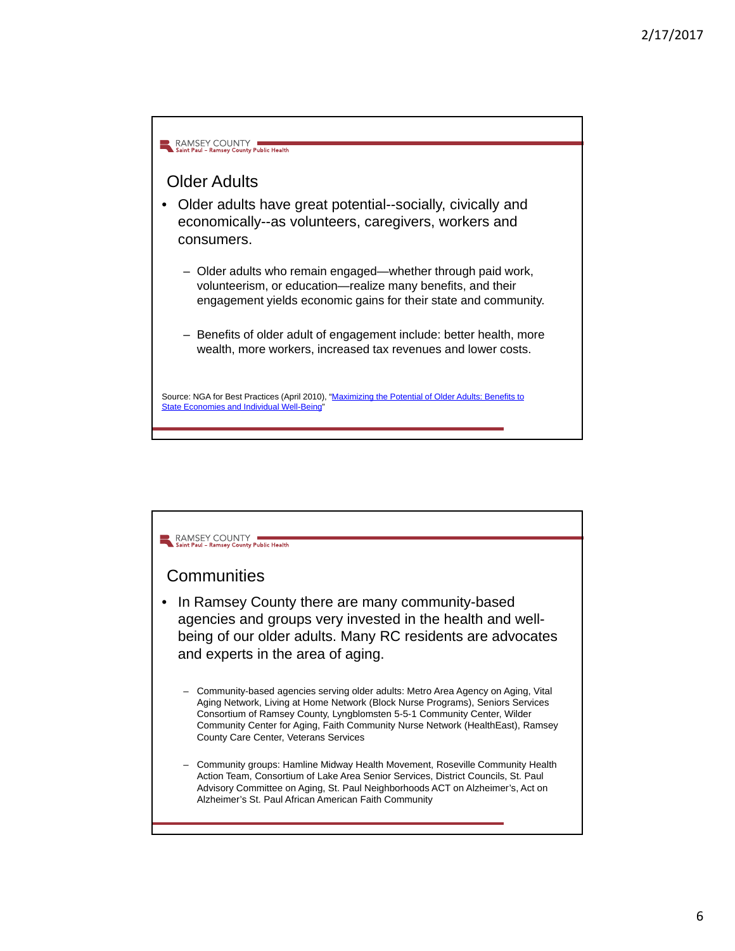

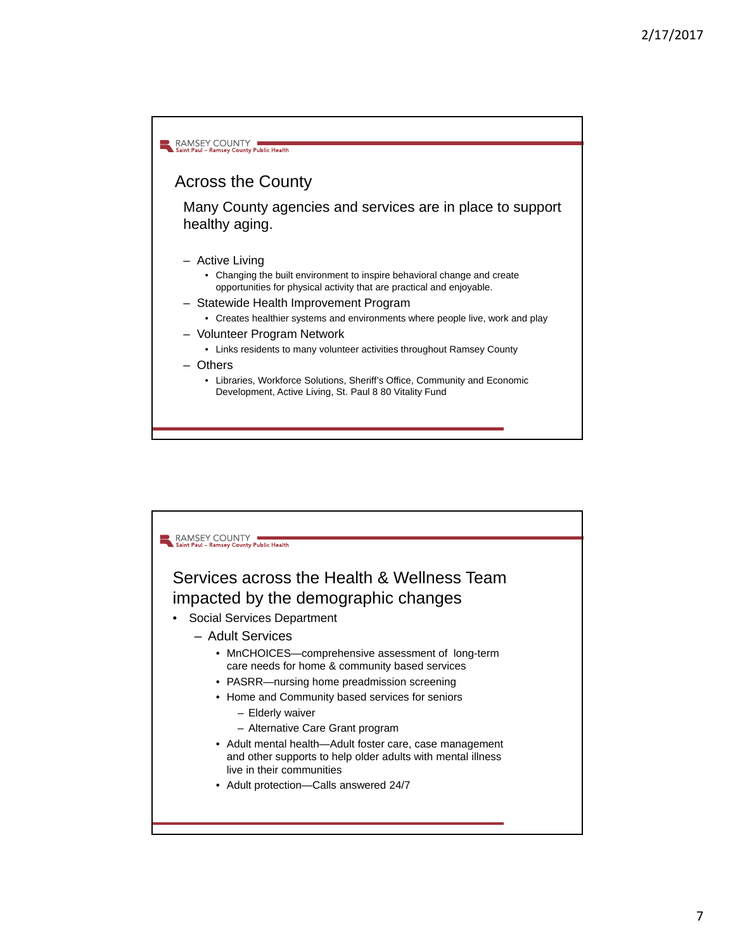

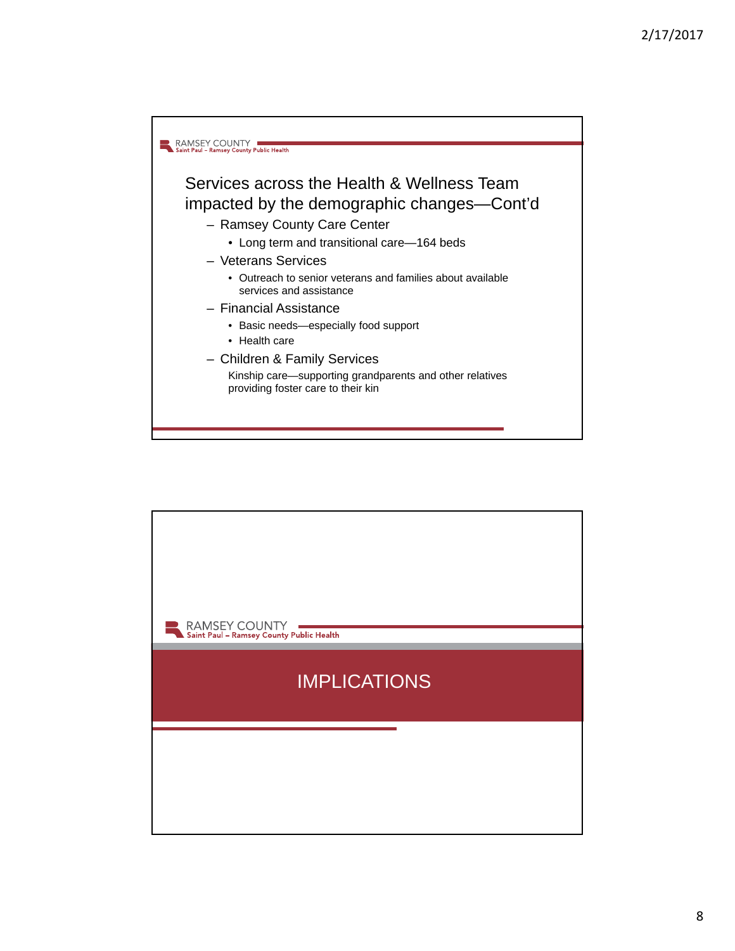

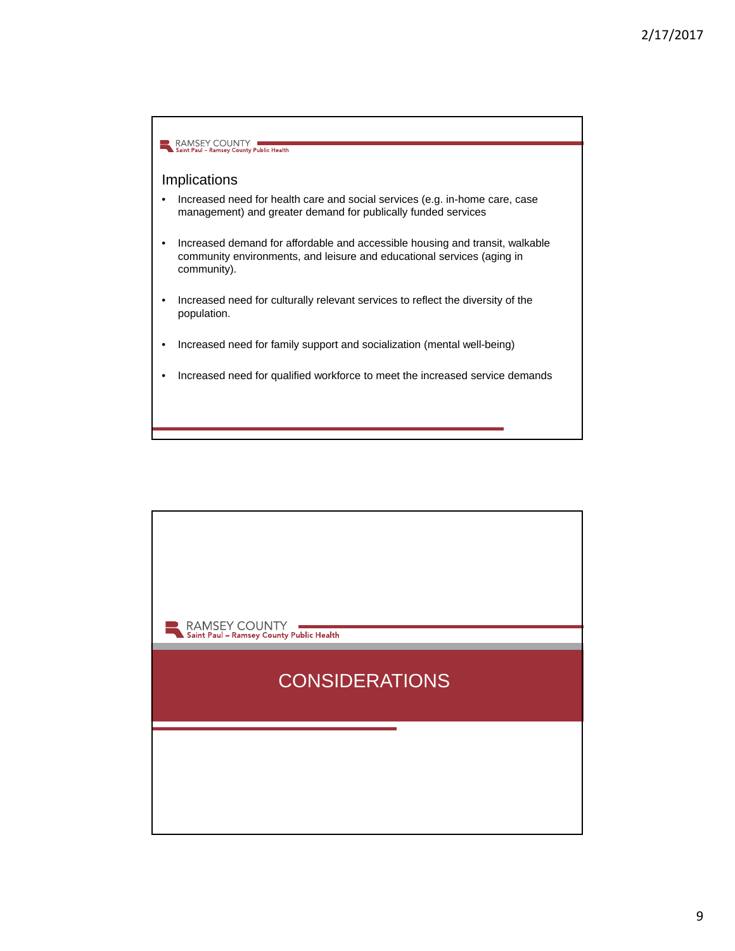

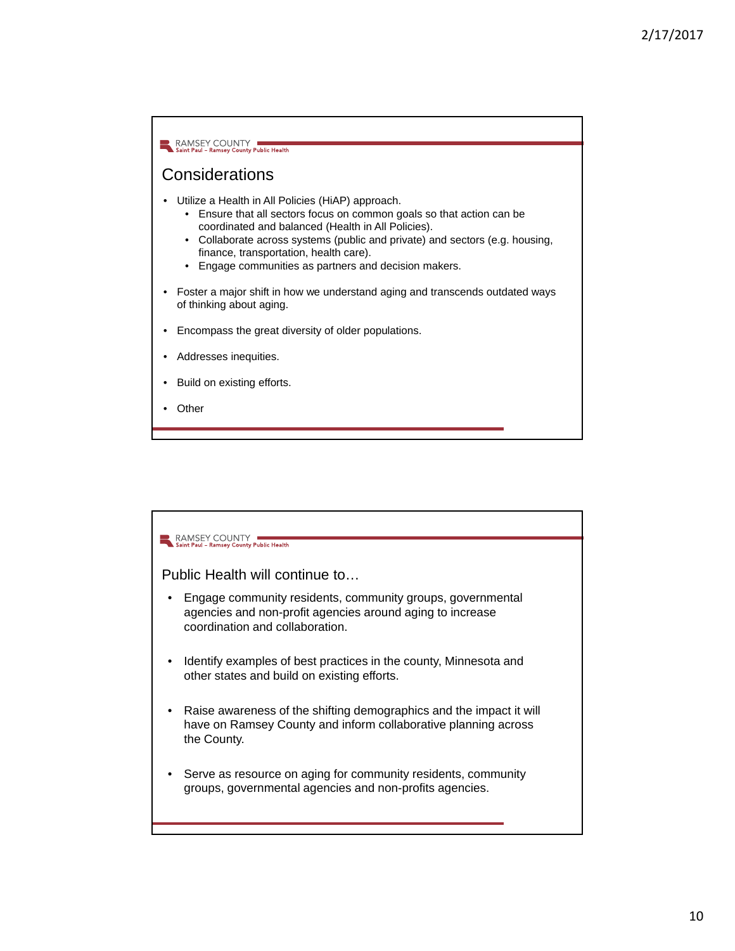